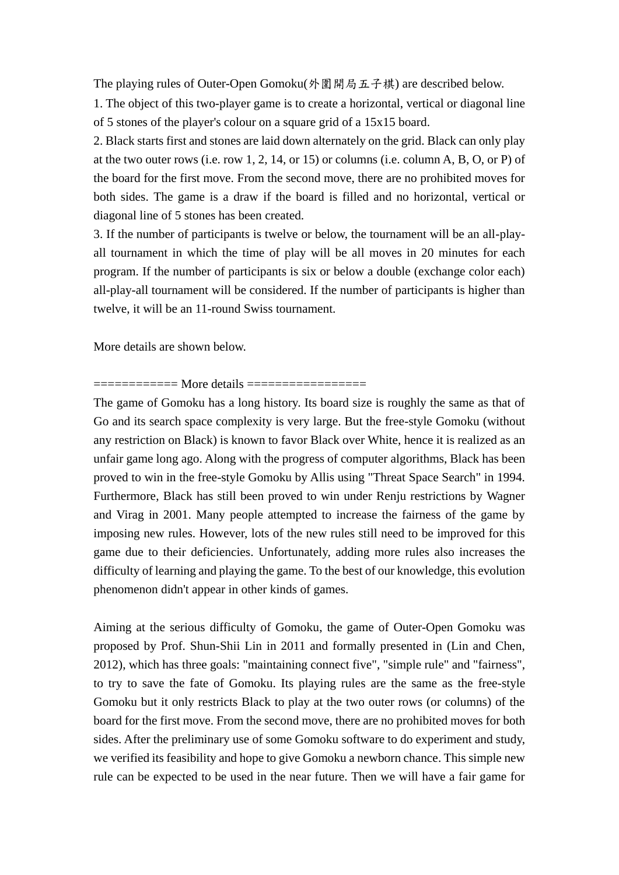The playing rules of Outer-Open Gomoku(外圍開局五子棋) are described below.

1. The object of this two-player game is to create a horizontal, vertical or diagonal line of 5 stones of the player's colour on a square grid of a 15x15 board.

2. Black starts first and stones are laid down alternately on the grid. Black can only play at the two outer rows (i.e. row 1, 2, 14, or 15) or columns (i.e. column A, B, O, or P) of the board for the first move. From the second move, there are no prohibited moves for both sides. The game is a draw if the board is filled and no horizontal, vertical or diagonal line of 5 stones has been created.

3. If the number of participants is twelve or below, the tournament will be an all-playall tournament in which the time of play will be all moves in 20 minutes for each program. If the number of participants is six or below a double (exchange color each) all-play-all tournament will be considered. If the number of participants is higher than twelve, it will be an 11-round Swiss tournament.

More details are shown below.

## ============ More details =================

The game of Gomoku has a long history. Its board size is roughly the same as that of Go and its search space complexity is very large. But the free-style Gomoku (without any restriction on Black) is known to favor Black over White, hence it is realized as an unfair game long ago. Along with the progress of computer algorithms, Black has been proved to win in the free-style Gomoku by Allis using "Threat Space Search" in 1994. Furthermore, Black has still been proved to win under Renju restrictions by Wagner and Virag in 2001. Many people attempted to increase the fairness of the game by imposing new rules. However, lots of the new rules still need to be improved for this game due to their deficiencies. Unfortunately, adding more rules also increases the difficulty of learning and playing the game. To the best of our knowledge, this evolution phenomenon didn't appear in other kinds of games.

Aiming at the serious difficulty of Gomoku, the game of Outer-Open Gomoku was proposed by Prof. Shun-Shii Lin in 2011 and formally presented in (Lin and Chen, 2012), which has three goals: "maintaining connect five", "simple rule" and "fairness", to try to save the fate of Gomoku. Its playing rules are the same as the free-style Gomoku but it only restricts Black to play at the two outer rows (or columns) of the board for the first move. From the second move, there are no prohibited moves for both sides. After the preliminary use of some Gomoku software to do experiment and study, we verified its feasibility and hope to give Gomoku a newborn chance. This simple new rule can be expected to be used in the near future. Then we will have a fair game for